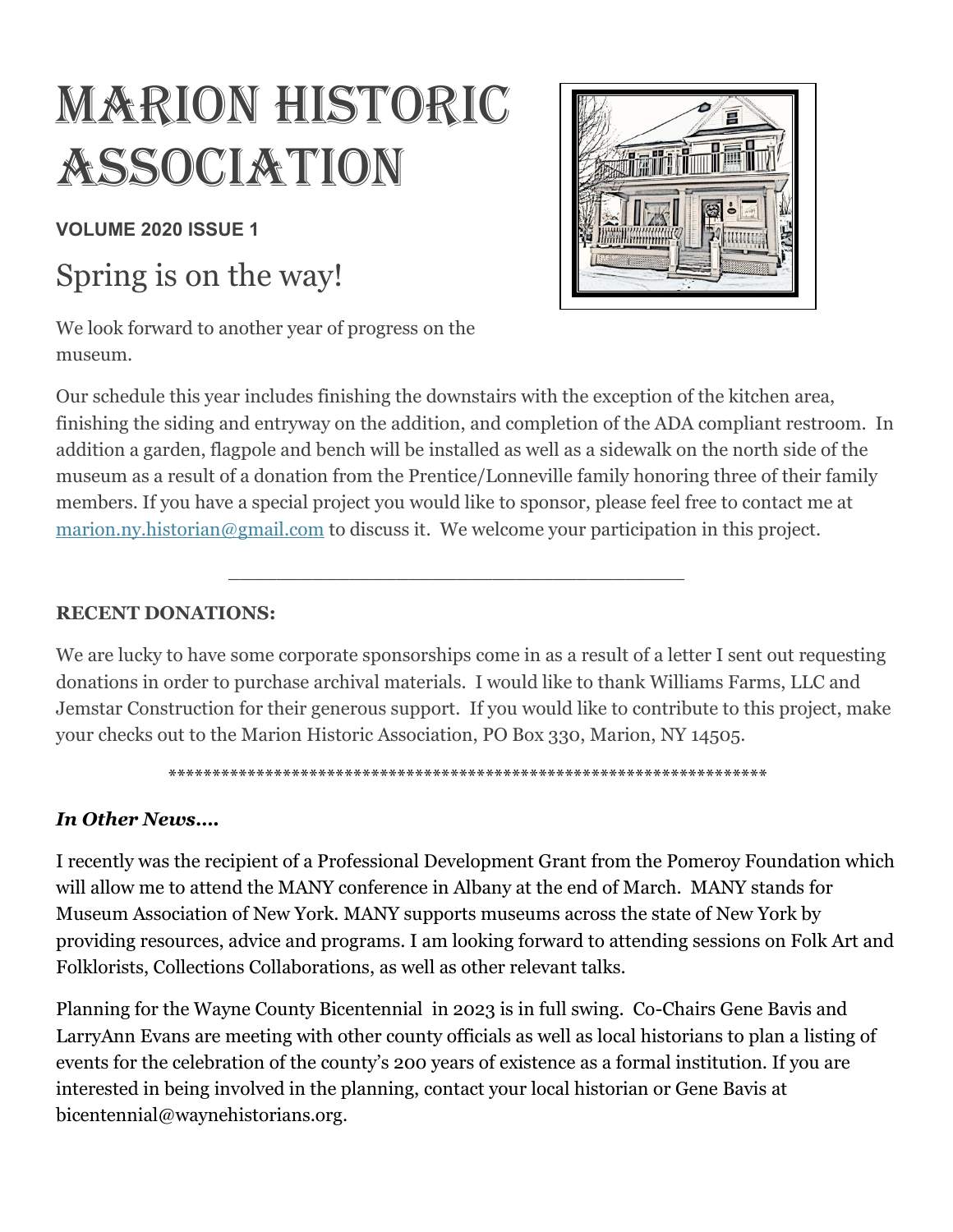# MARION HISTORIC **ASSOCIATION**

**VOLUME 2020 ISSUE 1**

## Spring is on the way!

We look forward to another year of progress on the museum.



Our schedule this year includes finishing the downstairs with the exception of the kitchen area, finishing the siding and entryway on the addition, and completion of the ADA compliant restroom. In addition a garden, flagpole and bench will be installed as well as a sidewalk on the north side of the museum as a result of a donation from the Prentice/Lonneville family honoring three of their family members. If you have a special project you would like to sponsor, please feel free to contact me at [marion.ny.historian@gmail.com](mailto:marion.ny.historian@gmail.com) to discuss it. We welcome your participation in this project.

\_\_\_\_\_\_\_\_\_\_\_\_\_\_\_\_\_\_\_\_\_\_\_\_\_\_\_\_\_\_\_\_\_\_\_\_\_\_

#### **RECENT DONATIONS:**

We are lucky to have some corporate sponsorships come in as a result of a letter I sent out requesting donations in order to purchase archival materials. I would like to thank Williams Farms, LLC and Jemstar Construction for their generous support. If you would like to contribute to this project, make your checks out to the Marion Historic Association, PO Box 330, Marion, NY 14505.

\*\*\*\*\*\*\*\*\*\*\*\*\*\*\*\*\*\*\*\*\*\*\*\*\*\*\*\*\*\*\*\*\*\*\*\*\*\*\*\*\*\*\*\*\*\*\*\*\*\*\*\*\*\*\*\*\*\*\*\*\*\*\*\*\*\*\*\*

#### *In Other News….*

I recently was the recipient of a Professional Development Grant from the Pomeroy Foundation which will allow me to attend the MANY conference in Albany at the end of March. MANY stands for Museum Association of New York. MANY supports museums across the state of New York by providing resources, advice and programs. I am looking forward to attending sessions on Folk Art and Folklorists, Collections Collaborations, as well as other relevant talks.

Planning for the Wayne County Bicentennial in 2023 is in full swing. Co-Chairs Gene Bavis and LarryAnn Evans are meeting with other county officials as well as local historians to plan a listing of events for the celebration of the county's 200 years of existence as a formal institution. If you are interested in being involved in the planning, contact your local historian or Gene Bavis at bicentennial@waynehistorians.org.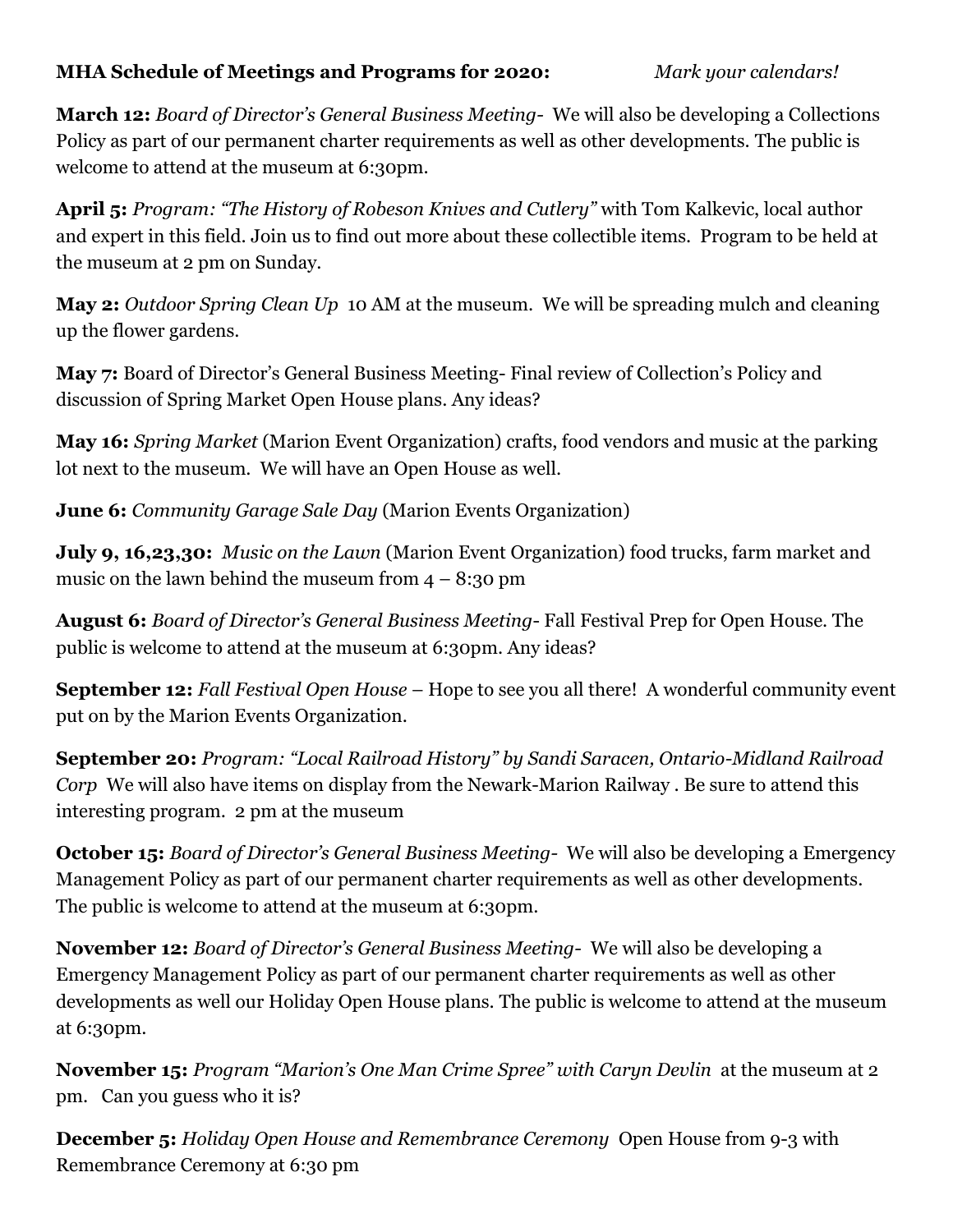#### **MHA Schedule of Meetings and Programs for 2020:** *Mark your calendars!*

**March 12:** *Board of Director's General Business Meeting-* We will also be developing a Collections Policy as part of our permanent charter requirements as well as other developments. The public is welcome to attend at the museum at 6:30pm.

**April 5:** *Program: "The History of Robeson Knives and Cutlery"* with Tom Kalkevic, local author and expert in this field. Join us to find out more about these collectible items. Program to be held at the museum at 2 pm on Sunday.

**May 2:** *Outdoor Spring Clean Up* 10 AM at the museum. We will be spreading mulch and cleaning up the flower gardens.

**May 7:** Board of Director's General Business Meeting- Final review of Collection's Policy and discussion of Spring Market Open House plans. Any ideas?

**May 16:** *Spring Market* (Marion Event Organization) crafts, food vendors and music at the parking lot next to the museum. We will have an Open House as well.

**June 6:** *Community Garage Sale Day* (Marion Events Organization)

**July 9, 16,23,30:** *Music on the Lawn* (Marion Event Organization) food trucks, farm market and music on the lawn behind the museum from  $4 - 8:30$  pm

**August 6:** *Board of Director's General Business Meeting*- Fall Festival Prep for Open House. The public is welcome to attend at the museum at 6:30pm. Any ideas?

**September 12:** *Fall Festival Open House* – Hope to see you all there! A wonderful community event put on by the Marion Events Organization.

**September 20:** *Program: "Local Railroad History" by Sandi Saracen, Ontario-Midland Railroad Corp* We will also have items on display from the Newark-Marion Railway . Be sure to attend this interesting program. 2 pm at the museum

**October 15:** *Board of Director's General Business Meeting-* We will also be developing a Emergency Management Policy as part of our permanent charter requirements as well as other developments. The public is welcome to attend at the museum at 6:30pm.

**November 12:** *Board of Director's General Business Meeting-* We will also be developing a Emergency Management Policy as part of our permanent charter requirements as well as other developments as well our Holiday Open House plans. The public is welcome to attend at the museum at 6:30pm.

**November 15:** *Program "Marion's One Man Crime Spree" with Caryn Devlin* at the museum at 2 pm. Can you guess who it is?

**December 5:** *Holiday Open House and Remembrance Ceremony* Open House from 9-3 with Remembrance Ceremony at 6:30 pm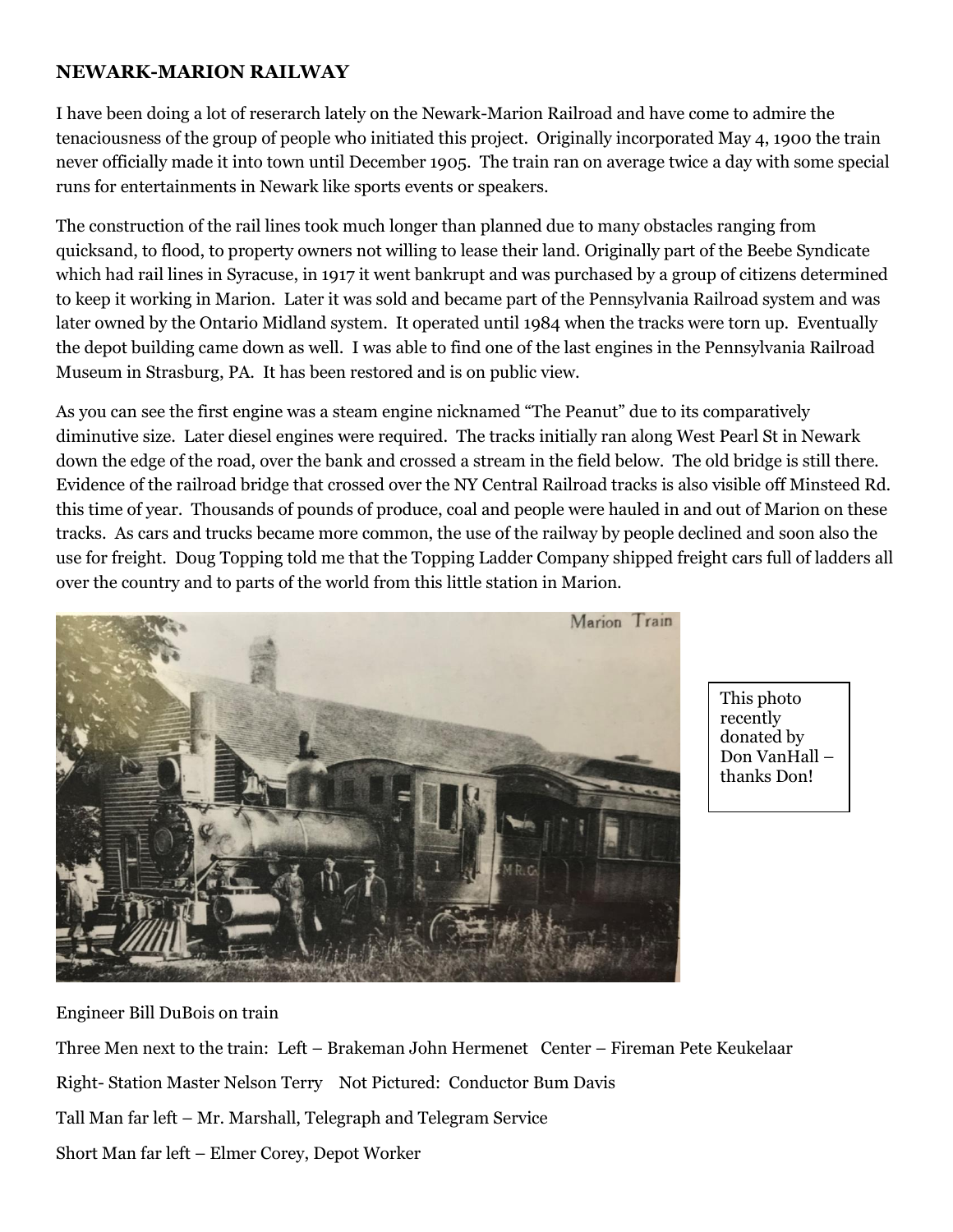#### **NEWARK-MARION RAILWAY**

I have been doing a lot of reserarch lately on the Newark-Marion Railroad and have come to admire the tenaciousness of the group of people who initiated this project. Originally incorporated May 4, 1900 the train never officially made it into town until December 1905. The train ran on average twice a day with some special runs for entertainments in Newark like sports events or speakers.

The construction of the rail lines took much longer than planned due to many obstacles ranging from quicksand, to flood, to property owners not willing to lease their land. Originally part of the Beebe Syndicate which had rail lines in Syracuse, in 1917 it went bankrupt and was purchased by a group of citizens determined to keep it working in Marion. Later it was sold and became part of the Pennsylvania Railroad system and was later owned by the Ontario Midland system. It operated until 1984 when the tracks were torn up. Eventually the depot building came down as well. I was able to find one of the last engines in the Pennsylvania Railroad Museum in Strasburg, PA. It has been restored and is on public view.

As you can see the first engine was a steam engine nicknamed "The Peanut" due to its comparatively diminutive size. Later diesel engines were required. The tracks initially ran along West Pearl St in Newark down the edge of the road, over the bank and crossed a stream in the field below. The old bridge is still there. Evidence of the railroad bridge that crossed over the NY Central Railroad tracks is also visible off Minsteed Rd. this time of year. Thousands of pounds of produce, coal and people were hauled in and out of Marion on these tracks. As cars and trucks became more common, the use of the railway by people declined and soon also the use for freight. Doug Topping told me that the Topping Ladder Company shipped freight cars full of ladders all over the country and to parts of the world from this little station in Marion.



This photo recently donated by Don VanHall – thanks Don!

Engineer Bill DuBois on train

Three Men next to the train: Left – Brakeman John Hermenet Center – Fireman Pete Keukelaar Right- Station Master Nelson Terry Not Pictured: Conductor Bum Davis Tall Man far left – Mr. Marshall, Telegraph and Telegram Service Short Man far left – Elmer Corey, Depot Worker